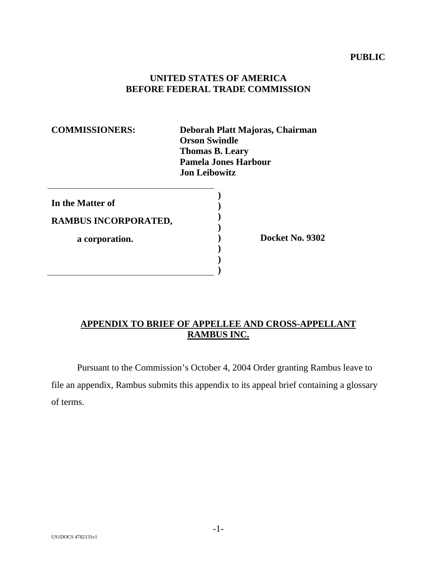## **PUBLIC**

### **UNITED STATES OF AMERICA BEFORE FEDERAL TRADE COMMISSION**

| <b>COMMISSIONERS:</b> | Deborah Platt Majoras, Chairman<br><b>Orson Swindle</b><br><b>Thomas B. Leary</b><br><b>Pamela Jones Harbour</b><br><b>Jon Leibowitz</b> |
|-----------------------|------------------------------------------------------------------------------------------------------------------------------------------|
| In the Matter of      |                                                                                                                                          |
| RAMBUS INCORPORATED,  |                                                                                                                                          |
| a corporation.        | Docket No. 9302                                                                                                                          |
|                       |                                                                                                                                          |

# **APPENDIX TO BRIEF OF APPELLEE AND CROSS-APPELLANT RAMBUS INC.**

Pursuant to the Commission's October 4, 2004 Order granting Rambus leave to file an appendix, Rambus submits this appendix to its appeal brief containing a glossary of terms.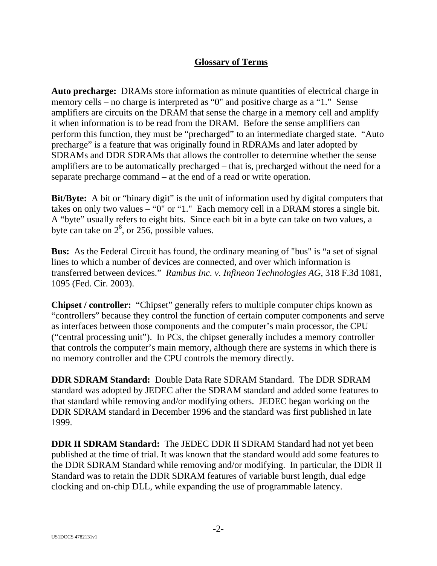# **Glossary of Terms**

**Auto precharge:** DRAMs store information as minute quantities of electrical charge in memory cells – no charge is interpreted as "0" and positive charge as a "1." Sense amplifiers are circuits on the DRAM that sense the charge in a memory cell and amplify it when information is to be read from the DRAM. Before the sense amplifiers can perform this function, they must be "precharged" to an intermediate charged state. "Auto precharge" is a feature that was originally found in RDRAMs and later adopted by SDRAMs and DDR SDRAMs that allows the controller to determine whether the sense amplifiers are to be automatically precharged – that is, precharged without the need for a separate precharge command – at the end of a read or write operation.

**Bit/Byte:** A bit or "binary digit" is the unit of information used by digital computers that takes on only two values – "0" or "1." Each memory cell in a DRAM stores a single bit. A "byte" usually refers to eight bits. Since each bit in a byte can take on two values, a byte can take on  $2^8$ , or 256, possible values.

**Bus:** As the Federal Circuit has found, the ordinary meaning of "bus" is "a set of signal lines to which a number of devices are connected, and over which information is transferred between devices." *Rambus Inc. v. Infineon Technologies AG*, 318 F.3d 1081, 1095 (Fed. Cir. 2003).

**Chipset / controller:** "Chipset" generally refers to multiple computer chips known as "controllers" because they control the function of certain computer components and serve as interfaces between those components and the computer's main processor, the CPU ("central processing unit"). In PCs, the chipset generally includes a memory controller that controls the computer's main memory, although there are systems in which there is no memory controller and the CPU controls the memory directly.

**DDR SDRAM Standard:** Double Data Rate SDRAM Standard. The DDR SDRAM standard was adopted by JEDEC after the SDRAM standard and added some features to that standard while removing and/or modifying others. JEDEC began working on the DDR SDRAM standard in December 1996 and the standard was first published in late 1999.

**DDR II SDRAM Standard:** The JEDEC DDR II SDRAM Standard had not yet been published at the time of trial. It was known that the standard would add some features to the DDR SDRAM Standard while removing and/or modifying. In particular, the DDR II Standard was to retain the DDR SDRAM features of variable burst length, dual edge clocking and on-chip DLL, while expanding the use of programmable latency.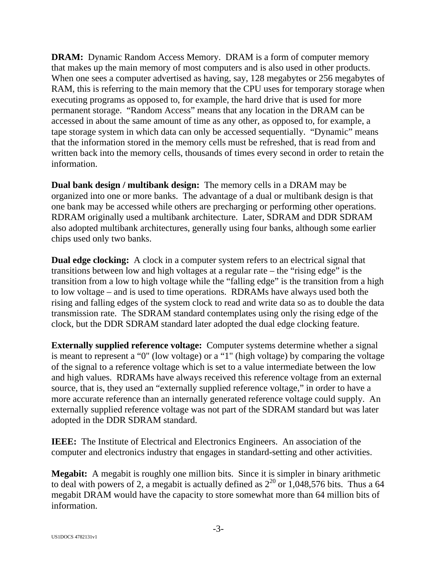**DRAM:** Dynamic Random Access Memory. DRAM is a form of computer memory that makes up the main memory of most computers and is also used in other products. When one sees a computer advertised as having, say, 128 megabytes or 256 megabytes of RAM, this is referring to the main memory that the CPU uses for temporary storage when executing programs as opposed to, for example, the hard drive that is used for more permanent storage. "Random Access" means that any location in the DRAM can be accessed in about the same amount of time as any other, as opposed to, for example, a tape storage system in which data can only be accessed sequentially. "Dynamic" means that the information stored in the memory cells must be refreshed, that is read from and written back into the memory cells, thousands of times every second in order to retain the information.

**Dual bank design / multibank design:** The memory cells in a DRAM may be organized into one or more banks. The advantage of a dual or multibank design is that one bank may be accessed while others are precharging or performing other operations. RDRAM originally used a multibank architecture. Later, SDRAM and DDR SDRAM also adopted multibank architectures, generally using four banks, although some earlier chips used only two banks.

**Dual edge clocking:** A clock in a computer system refers to an electrical signal that transitions between low and high voltages at a regular rate – the "rising edge" is the transition from a low to high voltage while the "falling edge" is the transition from a high to low voltage – and is used to time operations. RDRAMs have always used both the rising and falling edges of the system clock to read and write data so as to double the data transmission rate. The SDRAM standard contemplates using only the rising edge of the clock, but the DDR SDRAM standard later adopted the dual edge clocking feature.

**Externally supplied reference voltage:** Computer systems determine whether a signal is meant to represent a "0" (low voltage) or a "1" (high voltage) by comparing the voltage of the signal to a reference voltage which is set to a value intermediate between the low and high values. RDRAMs have always received this reference voltage from an external source, that is, they used an "externally supplied reference voltage," in order to have a more accurate reference than an internally generated reference voltage could supply. An externally supplied reference voltage was not part of the SDRAM standard but was later adopted in the DDR SDRAM standard.

**IEEE:** The Institute of Electrical and Electronics Engineers. An association of the computer and electronics industry that engages in standard-setting and other activities.

**Megabit:** A megabit is roughly one million bits. Since it is simpler in binary arithmetic to deal with powers of 2, a megabit is actually defined as  $2^{20}$  or 1,048,576 bits. Thus a 64 megabit DRAM would have the capacity to store somewhat more than 64 million bits of information.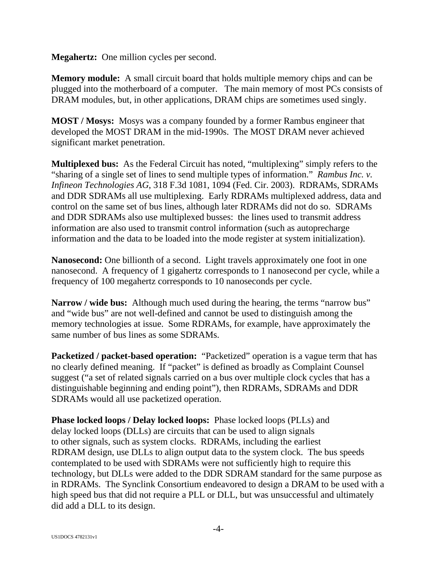**Megahertz:** One million cycles per second.

**Memory module:** A small circuit board that holds multiple memory chips and can be plugged into the motherboard of a computer. The main memory of most PCs consists of DRAM modules, but, in other applications, DRAM chips are sometimes used singly.

**MOST / Mosys:** Mosys was a company founded by a former Rambus engineer that developed the MOST DRAM in the mid-1990s. The MOST DRAM never achieved significant market penetration.

**Multiplexed bus:** As the Federal Circuit has noted, "multiplexing" simply refers to the "sharing of a single set of lines to send multiple types of information." *Rambus Inc. v. Infineon Technologies AG*, 318 F.3d 1081, 1094 (Fed. Cir. 2003). RDRAMs, SDRAMs and DDR SDRAMs all use multiplexing. Early RDRAMs multiplexed address, data and control on the same set of bus lines, although later RDRAMs did not do so. SDRAMs and DDR SDRAMs also use multiplexed busses: the lines used to transmit address information are also used to transmit control information (such as autoprecharge information and the data to be loaded into the mode register at system initialization).

**Nanosecond:** One billionth of a second. Light travels approximately one foot in one nanosecond. A frequency of 1 gigahertz corresponds to 1 nanosecond per cycle, while a frequency of 100 megahertz corresponds to 10 nanoseconds per cycle.

**Narrow / wide bus:** Although much used during the hearing, the terms "narrow bus" and "wide bus" are not well-defined and cannot be used to distinguish among the memory technologies at issue. Some RDRAMs, for example, have approximately the same number of bus lines as some SDRAMs.

**Packetized / packet-based operation:** "Packetized" operation is a vague term that has no clearly defined meaning. If "packet" is defined as broadly as Complaint Counsel suggest ("a set of related signals carried on a bus over multiple clock cycles that has a distinguishable beginning and ending point"), then RDRAMs, SDRAMs and DDR SDRAMs would all use packetized operation.

**Phase locked loops / Delay locked loops:** Phase locked loops (PLLs) and delay locked loops (DLLs) are circuits that can be used to align signals to other signals, such as system clocks. RDRAMs, including the earliest RDRAM design, use DLLs to align output data to the system clock. The bus speeds contemplated to be used with SDRAMs were not sufficiently high to require this technology, but DLLs were added to the DDR SDRAM standard for the same purpose as in RDRAMs. The Synclink Consortium endeavored to design a DRAM to be used with a high speed bus that did not require a PLL or DLL, but was unsuccessful and ultimately did add a DLL to its design.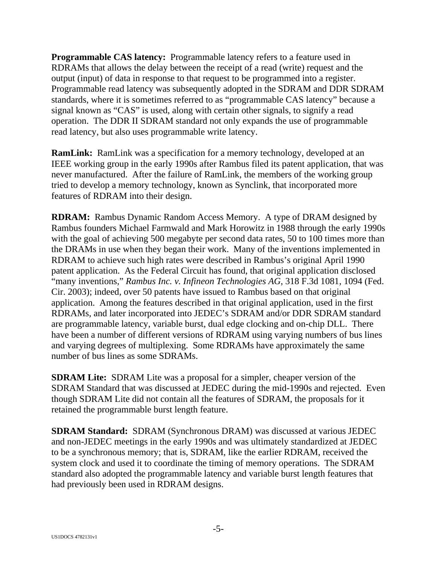**Programmable CAS latency:** Programmable latency refers to a feature used in RDRAMs that allows the delay between the receipt of a read (write) request and the output (input) of data in response to that request to be programmed into a register. Programmable read latency was subsequently adopted in the SDRAM and DDR SDRAM standards, where it is sometimes referred to as "programmable CAS latency" because a signal known as "CAS" is used, along with certain other signals, to signify a read operation. The DDR II SDRAM standard not only expands the use of programmable read latency, but also uses programmable write latency.

**RamLink:** RamLink was a specification for a memory technology, developed at an IEEE working group in the early 1990s after Rambus filed its patent application, that was never manufactured. After the failure of RamLink, the members of the working group tried to develop a memory technology, known as Synclink, that incorporated more features of RDRAM into their design.

**RDRAM:** Rambus Dynamic Random Access Memory. A type of DRAM designed by Rambus founders Michael Farmwald and Mark Horowitz in 1988 through the early 1990s with the goal of achieving 500 megabyte per second data rates, 50 to 100 times more than the DRAMs in use when they began their work. Many of the inventions implemented in RDRAM to achieve such high rates were described in Rambus's original April 1990 patent application. As the Federal Circuit has found, that original application disclosed "many inventions," *Rambus Inc. v. Infineon Technologies AG*, 318 F.3d 1081, 1094 (Fed. Cir. 2003); indeed, over 50 patents have issued to Rambus based on that original application. Among the features described in that original application, used in the first RDRAMs, and later incorporated into JEDEC's SDRAM and/or DDR SDRAM standard are programmable latency, variable burst, dual edge clocking and on-chip DLL. There have been a number of different versions of RDRAM using varying numbers of bus lines and varying degrees of multiplexing. Some RDRAMs have approximately the same number of bus lines as some SDRAMs.

**SDRAM Lite:** SDRAM Lite was a proposal for a simpler, cheaper version of the SDRAM Standard that was discussed at JEDEC during the mid-1990s and rejected. Even though SDRAM Lite did not contain all the features of SDRAM, the proposals for it retained the programmable burst length feature.

**SDRAM Standard:** SDRAM (Synchronous DRAM) was discussed at various JEDEC and non-JEDEC meetings in the early 1990s and was ultimately standardized at JEDEC to be a synchronous memory; that is, SDRAM, like the earlier RDRAM, received the system clock and used it to coordinate the timing of memory operations. The SDRAM standard also adopted the programmable latency and variable burst length features that had previously been used in RDRAM designs.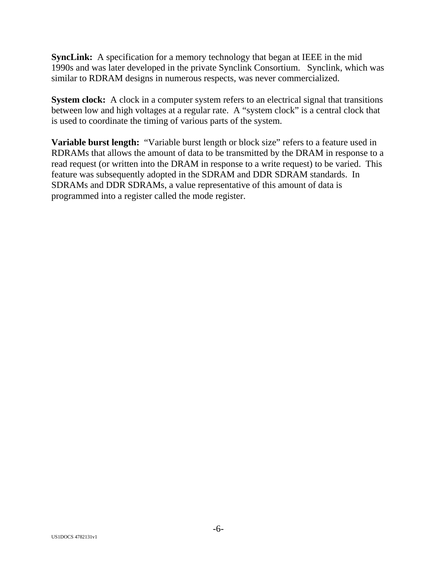**SyncLink:** A specification for a memory technology that began at IEEE in the mid 1990s and was later developed in the private Synclink Consortium. Synclink, which was similar to RDRAM designs in numerous respects, was never commercialized.

**System clock:** A clock in a computer system refers to an electrical signal that transitions between low and high voltages at a regular rate. A "system clock" is a central clock that is used to coordinate the timing of various parts of the system.

**Variable burst length:** "Variable burst length or block size" refers to a feature used in RDRAMs that allows the amount of data to be transmitted by the DRAM in response to a read request (or written into the DRAM in response to a write request) to be varied. This feature was subsequently adopted in the SDRAM and DDR SDRAM standards. In SDRAMs and DDR SDRAMs, a value representative of this amount of data is programmed into a register called the mode register.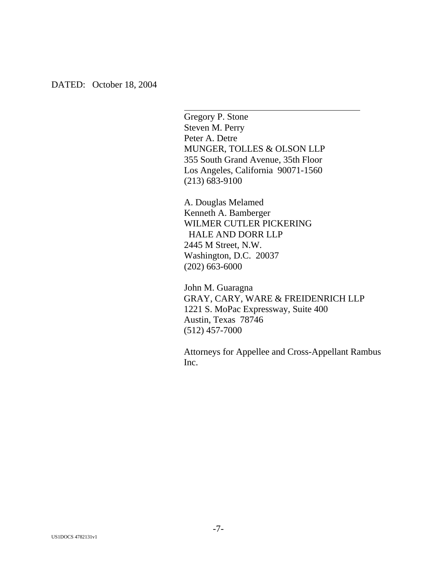Gregory P. Stone Steven M. Perry Peter A. Detre MUNGER, TOLLES & OLSON LLP 355 South Grand Avenue, 35th Floor Los Angeles, California 90071-1560 (213) 683-9100

 $\overline{a}$ 

A. Douglas Melamed Kenneth A. Bamberger WILMER CUTLER PICKERING HALE AND DORR LLP 2445 M Street, N.W. Washington, D.C. 20037 (202) 663-6000

John M. Guaragna GRAY, CARY, WARE & FREIDENRICH LLP 1221 S. MoPac Expressway, Suite 400 Austin, Texas 78746 (512) 457-7000

Attorneys for Appellee and Cross-Appellant Rambus Inc.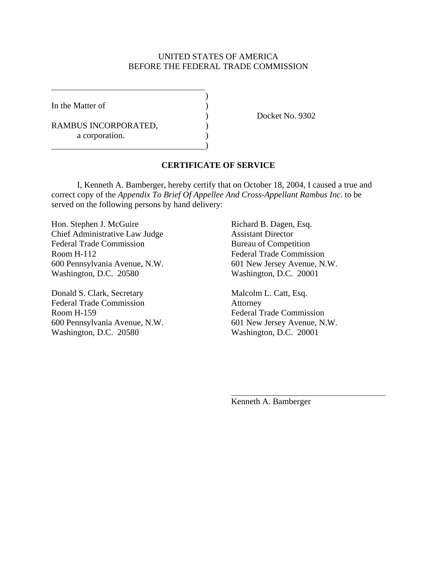#### UNITED STATES OF AMERICA BEFORE THE FEDERAL TRADE COMMISSION

In the Matter of  $\qquad \qquad$  )

 $\overline{a}$ 

RAMBUS INCORPORATED,  $($ a corporation.

 $\overline{\phantom{a}}$ 

 $\hspace{1.5cm}$ ) and  $\hspace{1.5cm}$  and  $\hspace{1.5cm}$  and  $\hspace{1.5cm}$ 

) Docket No. 9302

#### **CERTIFICATE OF SERVICE**

 I, Kenneth A. Bamberger, hereby certify that on October 18, 2004, I caused a true and correct copy of the *Appendix To Brief Of Appellee And Cross-Appellant Rambus Inc.* to be served on the following persons by hand delivery:

Hon. Stephen J. McGuire Richard B. Dagen, Esq. Chief Administrative Law Judge Assistant Director Federal Trade Commission Bureau of Competition Room H-112 Federal Trade Commission 600 Pennsylvania Avenue, N.W. 601 New Jersey Avenue, N.W. Washington, D.C. 20580 Washington, D.C. 20001

Donald S. Clark, Secretary Malcolm L. Catt, Esq. Federal Trade Commission Attorney Room H-159 Federal Trade Commission 600 Pennsylvania Avenue, N.W. 601 New Jersey Avenue, N.W. Washington, D.C. 20580 Washington, D.C. 20001

Kenneth A. Bamberger